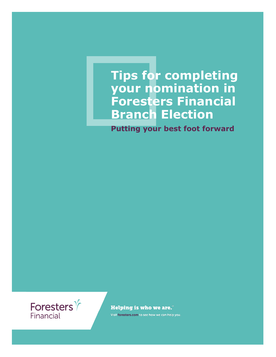## **Tips for completing your nomination in Foresters Financial Branch Election**

**Putting your best foot forward**



**Helping is who we are."** 

Visit foresters.com to see how we can help you.